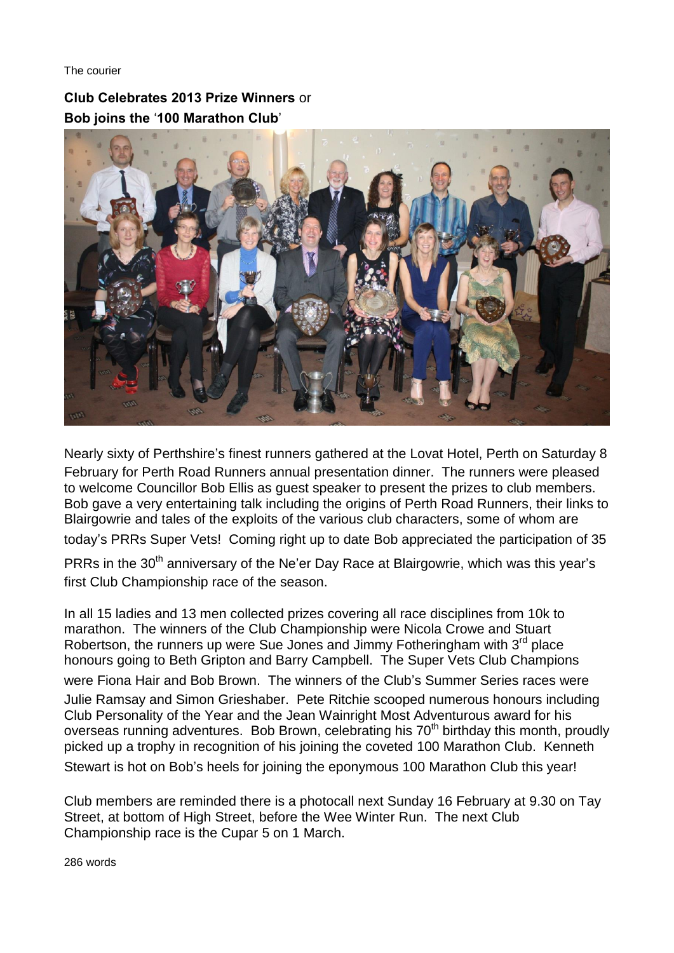The courier

**Club Celebrates 2013 Prize Winners** or **Bob joins the** '**100 Marathon Club**'



Nearly sixty of Perthshire's finest runners gathered at the Lovat Hotel, Perth on Saturday 8 February for Perth Road Runners annual presentation dinner. The runners were pleased to welcome Councillor Bob Ellis as guest speaker to present the prizes to club members. Bob gave a very entertaining talk including the origins of Perth Road Runners, their links to Blairgowrie and tales of the exploits of the various club characters, some of whom are today's PRRs Super Vets! Coming right up to date Bob appreciated the participation of 35

PRRs in the 30<sup>th</sup> anniversary of the Ne'er Day Race at Blairgowrie, which was this year's first Club Championship race of the season.

In all 15 ladies and 13 men collected prizes covering all race disciplines from 10k to marathon. The winners of the Club Championship were Nicola Crowe and Stuart Robertson, the runners up were Sue Jones and Jimmy Fotheringham with 3<sup>rd</sup> place honours going to Beth Gripton and Barry Campbell. The Super Vets Club Champions were Fiona Hair and Bob Brown. The winners of the Club's Summer Series races were Julie Ramsay and Simon Grieshaber. Pete Ritchie scooped numerous honours including Club Personality of the Year and the Jean Wainright Most Adventurous award for his overseas running adventures. Bob Brown, celebrating his 70<sup>th</sup> birthday this month, proudly picked up a trophy in recognition of his joining the coveted 100 Marathon Club. Kenneth Stewart is hot on Bob's heels for joining the eponymous 100 Marathon Club this year!

Club members are reminded there is a photocall next Sunday 16 February at 9.30 on Tay Street, at bottom of High Street, before the Wee Winter Run. The next Club Championship race is the Cupar 5 on 1 March.

286 words